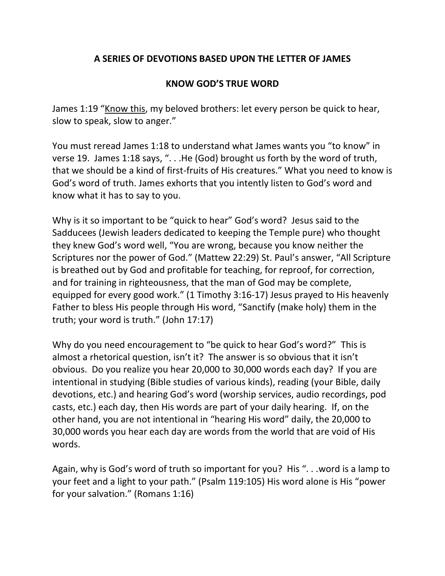## **A SERIES OF DEVOTIONS BASED UPON THE LETTER OF JAMES**

## **KNOW GOD'S TRUE WORD**

James 1:19 "Know this, my beloved brothers: let every person be quick to hear, slow to speak, slow to anger."

You must reread James 1:18 to understand what James wants you "to know" in verse 19. James 1:18 says, ". . .He (God) brought us forth by the word of truth, that we should be a kind of first-fruits of His creatures." What you need to know is God's word of truth. James exhorts that you intently listen to God's word and know what it has to say to you.

Why is it so important to be "quick to hear" God's word? Jesus said to the Sadducees (Jewish leaders dedicated to keeping the Temple pure) who thought they knew God's word well, "You are wrong, because you know neither the Scriptures nor the power of God." (Mattew 22:29) St. Paul's answer, "All Scripture is breathed out by God and profitable for teaching, for reproof, for correction, and for training in righteousness, that the man of God may be complete, equipped for every good work." (1 Timothy 3:16-17) Jesus prayed to His heavenly Father to bless His people through His word, "Sanctify (make holy) them in the truth; your word is truth." (John 17:17)

Why do you need encouragement to "be quick to hear God's word?" This is almost a rhetorical question, isn't it? The answer is so obvious that it isn't obvious. Do you realize you hear 20,000 to 30,000 words each day? If you are intentional in studying (Bible studies of various kinds), reading (your Bible, daily devotions, etc.) and hearing God's word (worship services, audio recordings, pod casts, etc.) each day, then His words are part of your daily hearing. If, on the other hand, you are not intentional in "hearing His word" daily, the 20,000 to 30,000 words you hear each day are words from the world that are void of His words.

Again, why is God's word of truth so important for you? His ". . .word is a lamp to your feet and a light to your path." (Psalm 119:105) His word alone is His "power for your salvation." (Romans 1:16)